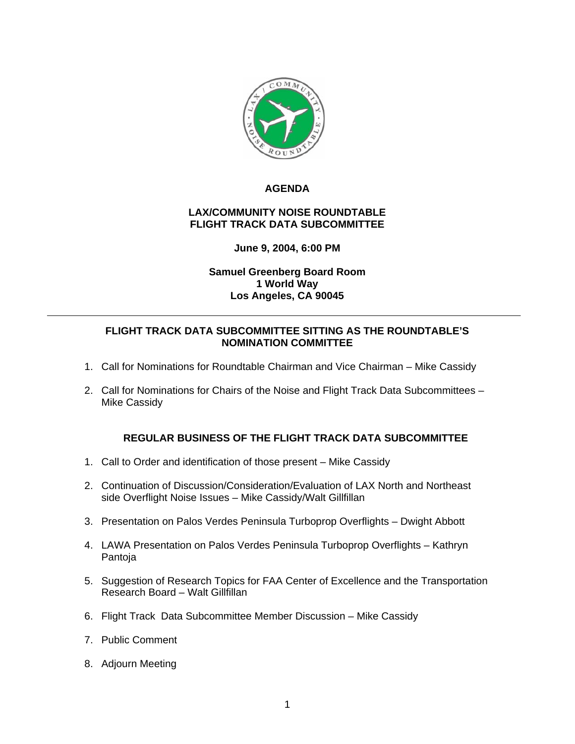

# **AGENDA**

# **LAX/COMMUNITY NOISE ROUNDTABLE FLIGHT TRACK DATA SUBCOMMITTEE**

# **June 9, 2004, 6:00 PM**

# **Samuel Greenberg Board Room 1 World Way Los Angeles, CA 90045**

### **FLIGHT TRACK DATA SUBCOMMITTEE SITTING AS THE ROUNDTABLE'S NOMINATION COMMITTEE**

- 1. Call for Nominations for Roundtable Chairman and Vice Chairman Mike Cassidy
- 2. Call for Nominations for Chairs of the Noise and Flight Track Data Subcommittees Mike Cassidy

# **REGULAR BUSINESS OF THE FLIGHT TRACK DATA SUBCOMMITTEE**

- 1. Call to Order and identification of those present Mike Cassidy
- 2. Continuation of Discussion/Consideration/Evaluation of LAX North and Northeast side Overflight Noise Issues – Mike Cassidy/Walt Gillfillan
- 3. Presentation on Palos Verdes Peninsula Turboprop Overflights Dwight Abbott
- 4. LAWA Presentation on Palos Verdes Peninsula Turboprop Overflights Kathryn Pantoja
- 5. Suggestion of Research Topics for FAA Center of Excellence and the Transportation Research Board – Walt Gillfillan
- 6. Flight Track Data Subcommittee Member Discussion Mike Cassidy
- 7. Public Comment
- 8. Adjourn Meeting